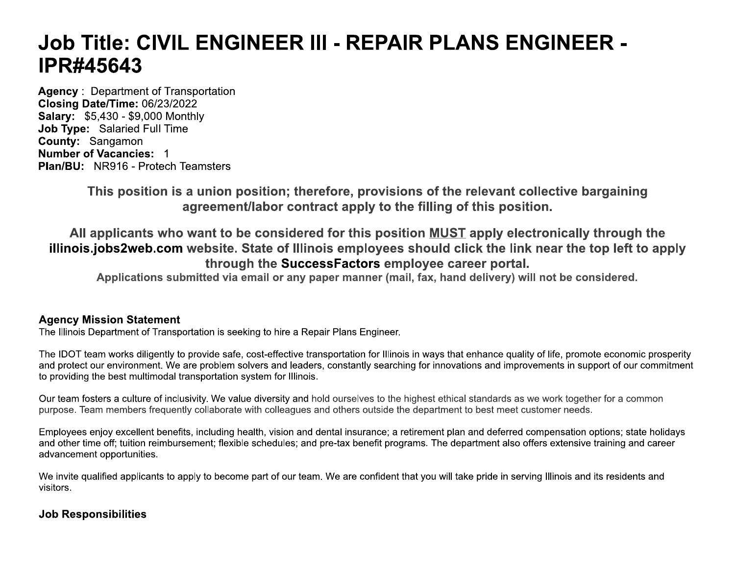# Job Title: CIVIL ENGINEER III - REPAIR PLANS ENGINEER -**IPR#45643**

**Agency: Department of Transportation** Closing Date/Time: 06/23/2022 **Salary: \$5,430 - \$9,000 Monthly** Job Type: Salaried Full Time County: Sangamon **Number of Vacancies: 1 Plan/BU: NR916 - Protech Teamsters** 

> This position is a union position; therefore, provisions of the relevant collective bargaining agreement/labor contract apply to the filling of this position.

All applicants who want to be considered for this position MUST apply electronically through the illinois.jobs2web.com website. State of Illinois employees should click the link near the top left to apply through the SuccessFactors employee career portal.

Applications submitted via email or any paper manner (mail, fax, hand delivery) will not be considered.

# **Agency Mission Statement**

The Illinois Department of Transportation is seeking to hire a Repair Plans Engineer.

The IDOT team works diligently to provide safe, cost-effective transportation for Illinois in ways that enhance quality of life, promote economic prosperity and protect our environment. We are problem solvers and leaders, constantly searching for innovations and improvements in support of our commitment to providing the best multimodal transportation system for Illinois.

Our team fosters a culture of inclusivity. We value diversity and hold ourselves to the highest ethical standards as we work together for a common purpose. Team members frequently collaborate with colleagues and others outside the department to best meet customer needs.

Employees enjoy excellent benefits, including health, vision and dental insurance; a retirement plan and deferred compensation options; state holidays and other time off; tuition reimbursement; flexible schedules; and pre-tax benefit programs. The department also offers extensive training and career advancement opportunities.

We invite qualified applicants to apply to become part of our team. We are confident that you will take pride in serving Illinois and its residents and visitors.

# **Job Responsibilities**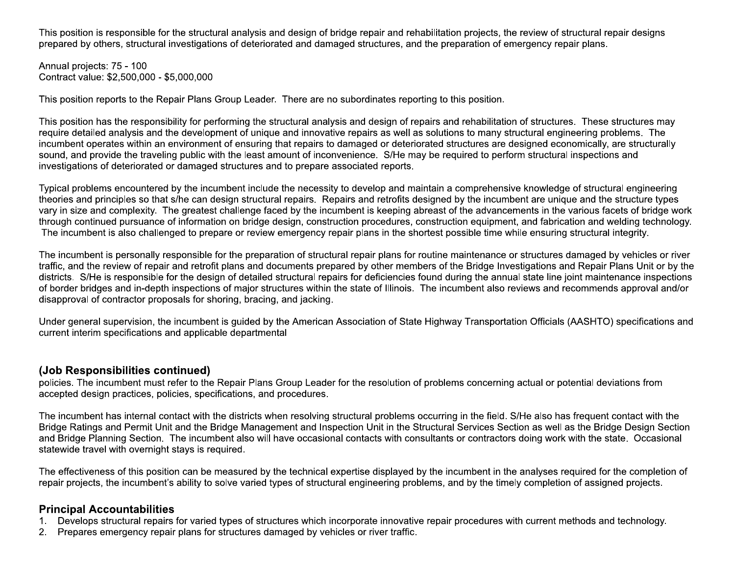This position is responsible for the structural analysis and design of bridge repair and rehabilitation projects, the review of structural repair designs prepared by others, structural investigations of deteriorated and damaged structures, and the preparation of emergency repair plans.

Annual projects: 75 - 100 Contract value: \$2,500,000 - \$5,000,000

This position reports to the Repair Plans Group Leader. There are no subordinates reporting to this position.

This position has the responsibility for performing the structural analysis and design of repairs and rehabilitation of structures. These structures may require detailed analysis and the development of unique and innovative repairs as well as solutions to many structural engineering problems. The incumbent operates within an environment of ensuring that repairs to damaged or deteriorated structures are designed economically, are structurally sound, and provide the traveling public with the least amount of inconvenience. S/He may be required to perform structural inspections and investigations of deteriorated or damaged structures and to prepare associated reports.

Typical problems encountered by the incumbent include the necessity to develop and maintain a comprehensive knowledge of structural engineering theories and principles so that s/he can design structural repairs. Repairs and retrofits designed by the incumbent are unique and the structure types vary in size and complexity. The greatest challenge faced by the incumbent is keeping abreast of the advancements in the various facets of bridge work through continued pursuance of information on bridge design, construction procedures, construction equipment, and fabrication and welding technology. The incumbent is also challenged to prepare or review emergency repair plans in the shortest possible time while ensuring structural integrity.

The incumbent is personally responsible for the preparation of structural repair plans for routine maintenance or structures damaged by vehicles or river traffic, and the review of repair and retrofit plans and documents prepared by other members of the Bridge Investigations and Repair Plans Unit or by the districts. S/He is responsible for the design of detailed structural repairs for deficiencies found during the annual state line joint maintenance inspections of border bridges and in-depth inspections of major structures within the state of Illinois. The incumbent also reviews and recommends approval and/or disapproval of contractor proposals for shoring, bracing, and jacking.

Under general supervision, the incumbent is guided by the American Association of State Highway Transportation Officials (AASHTO) specifications and current interim specifications and applicable departmental

# (Job Responsibilities continued)

policies. The incumbent must refer to the Repair Plans Group Leader for the resolution of problems concerning actual or potential deviations from accepted design practices, policies, specifications, and procedures.

The incumbent has internal contact with the districts when resolving structural problems occurring in the field. S/He also has frequent contact with the Bridge Ratings and Permit Unit and the Bridge Management and Inspection Unit in the Structural Services Section as well as the Bridge Design Section and Bridge Planning Section. The incumbent also will have occasional contacts with consultants or contractors doing work with the state. Occasional statewide travel with overnight stays is required.

The effectiveness of this position can be measured by the technical expertise displayed by the incumbent in the analyses required for the completion of repair projects, the incumbent's ability to solve varied types of structural engineering problems, and by the timely completion of assigned projects.

### **Principal Accountabilities**

- $1.$ Develops structural repairs for varied types of structures which incorporate innovative repair procedures with current methods and technology.
- 2. Prepares emergency repair plans for structures damaged by vehicles or river traffic.